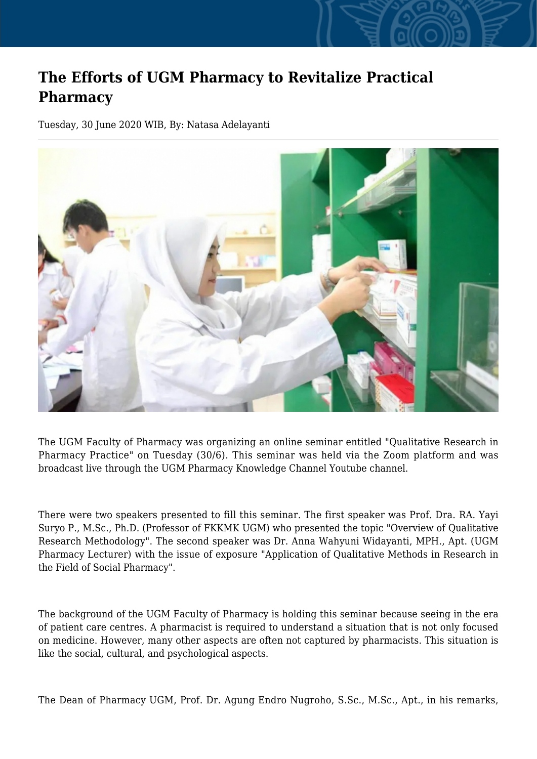## **The Efforts of UGM Pharmacy to Revitalize Practical Pharmacy**

Tuesday, 30 June 2020 WIB, By: Natasa Adelayanti



The UGM Faculty of Pharmacy was organizing an online seminar entitled "Qualitative Research in Pharmacy Practice" on Tuesday (30/6). This seminar was held via the Zoom platform and was broadcast live through the UGM Pharmacy Knowledge Channel Youtube channel.

There were two speakers presented to fill this seminar. The first speaker was Prof. Dra. RA. Yayi Suryo P., M.Sc., Ph.D. (Professor of FKKMK UGM) who presented the topic "Overview of Qualitative Research Methodology". The second speaker was Dr. Anna Wahyuni Widayanti, MPH., Apt. (UGM Pharmacy Lecturer) with the issue of exposure "Application of Qualitative Methods in Research in the Field of Social Pharmacy".

The background of the UGM Faculty of Pharmacy is holding this seminar because seeing in the era of patient care centres. A pharmacist is required to understand a situation that is not only focused on medicine. However, many other aspects are often not captured by pharmacists. This situation is like the social, cultural, and psychological aspects.

The Dean of Pharmacy UGM, Prof. Dr. Agung Endro Nugroho, S.Sc., M.Sc., Apt., in his remarks,